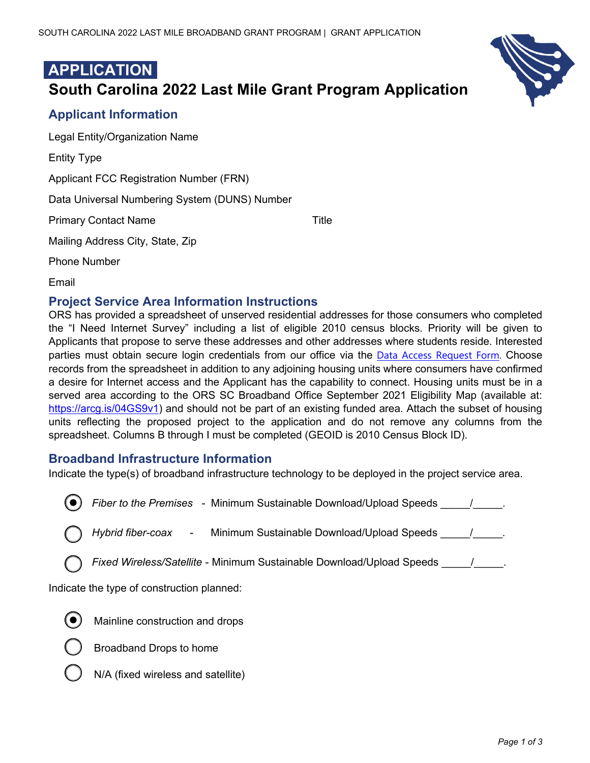

# **APPLICATION South Carolina 2022 Last Mile Grant Program Application**

## **Applicant Information**

Legal Entity/Organization Name

Entity Type

Applicant FCC Registration Number (FRN)

Data Universal Numbering System (DUNS) Number

Primary Contact Name Title

Mailing Address City, State, Zip

Phone Number

Email

## **Project Service Area Information Instructions**

ORS has provided a spreadsheet of unserved residential addresses for those consumers who completed the "I Need Internet Survey" including a list of eligible 2010 census blocks. Priority will be given to Applicants that propose to serve these addresses and other addresses where students reside. Interested parties must obtain secure login credentials from our office via the Data Access Request Form. Choose records from the spreadsheet in addition to any adjoining housing units where consumers have confirmed a desire for Internet access and the Applicant has the capability to connect. Housing units must be in a served area according to the ORS SC Broadband Office September 2021 Eligibility Map (available at: https://arcg.is/04GS9v1) and should not be part of an existing funded area. Attach the subset of housing units reflecting the proposed project to the application and do not remove any columns from the spreadsheet. Columns B through I must be completed (GEOID is 2010 Census Block ID).

## **Broadband Infrastructure Information**

Indicate the type(s) of broadband infrastructure technology to be deployed in the project service area.

*Fiber to the Premises - Minimum Sustainable Download/Upload Speeds \_\_\_\_\_\_/\_\_\_\_\_.* 

*Hybrid fiber-coax -* Minimum Sustainable Download/Upload Speeds \_\_\_\_\_/\_\_\_\_\_.

*Fixed Wireless/Satellite -* Minimum Sustainable Download/Upload Speeds \_\_\_\_\_/\_\_\_\_\_.

Indicate the type of construction planned:



Mainline construction and drops



- Broadband Drops to home
- N/A (fixed wireless and satellite)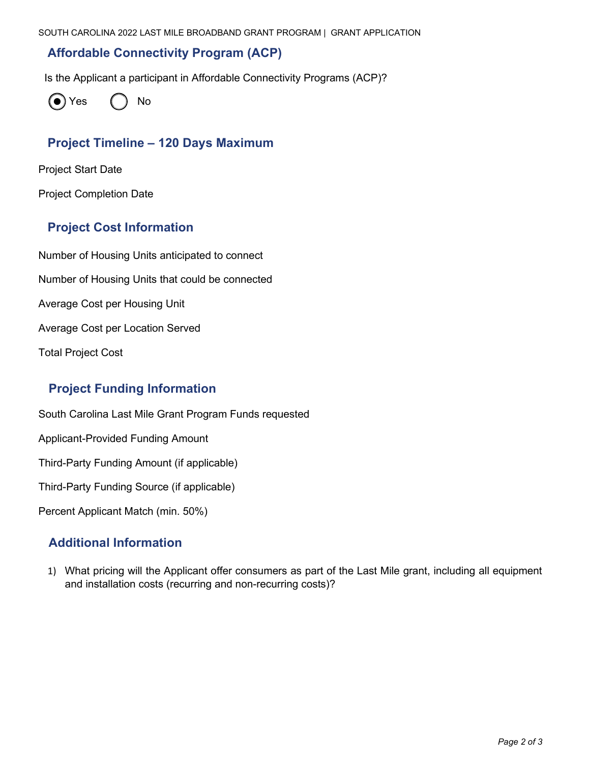### **Affordable Connectivity Program (ACP)**

Is the Applicant a participant in Affordable Connectivity Programs (ACP)?



## **Project Timeline – 120 Days Maximum**

Project Start Date

Project Completion Date

#### **Project Cost Information**

Number of Housing Units anticipated to connect Number of Housing Units that could be connected Average Cost per Housing Unit Average Cost per Location Served Total Project Cost

## **Project Funding Information**

South Carolina Last Mile Grant Program Funds requested

Applicant-Provided Funding Amount

Third-Party Funding Amount (if applicable)

Third-Party Funding Source (if applicable)

Percent Applicant Match (min. 50%)

#### **Additional Information**

1) What pricing will the Applicant offer consumers as part of the Last Mile grant, including all equipment and installation costs (recurring and non-recurring costs)?